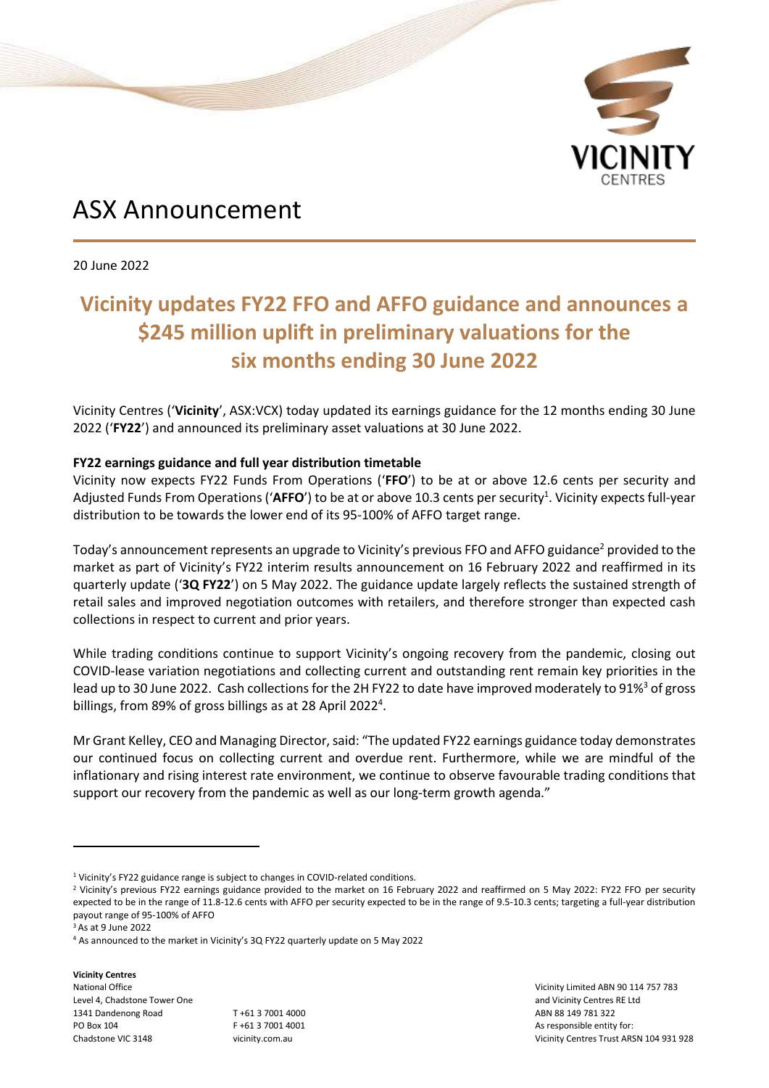

# ASX Announcement

20 June 2022

## **Vicinity updates FY22 FFO and AFFO guidance and announces a \$245 million uplift in preliminary valuations for the six months ending 30 June 2022**

Vicinity Centres ('**Vicinity**', ASX:VCX) today updated its earnings guidance for the 12 months ending 30 June 2022 ('**FY22**') and announced its preliminary asset valuations at 30 June 2022.

### **FY22 earnings guidance and full year distribution timetable**

Vicinity now expects FY22 Funds From Operations ('**FFO**') to be at or above 12.6 cents per security and Adjusted Funds From Operations ('AFFO') to be at or above 10.3 cents per security<sup>1</sup>. Vicinity expects full-year distribution to be towards the lower end of its 95-100% of AFFO target range.

Today's announcement represents an upgrade to Vicinity's previous FFO and AFFO guidance<sup>2</sup> provided to the market as part of Vicinity's FY22 interim results announcement on 16 February 2022 and reaffirmed in its quarterly update ('**3Q FY22**') on 5 May 2022. The guidance update largely reflects the sustained strength of retail sales and improved negotiation outcomes with retailers, and therefore stronger than expected cash collections in respect to current and prior years.

While trading conditions continue to support Vicinity's ongoing recovery from the pandemic, closing out COVID-lease variation negotiations and collecting current and outstanding rent remain key priorities in the lead up to 30 June 2022. Cash collections for the 2H FY22 to date have improved moderately to 91%<sup>3</sup> of gross billings, from 89% of gross billings as at 28 April 2022<sup>4</sup>.

Mr Grant Kelley, CEO and Managing Director, said: "The updated FY22 earnings guidance today demonstrates our continued focus on collecting current and overdue rent. Furthermore, while we are mindful of the inflationary and rising interest rate environment, we continue to observe favourable trading conditions that support our recovery from the pandemic as well as our long-term growth agenda."

**Vicinity Centres** National Office Level 4, Chadstone Tower One 1341 Dandenong Road PO Box 104 Chadstone VIC 3148

T +61 3 7001 4000 F +61 3 7001 4001 vicinity.com.au

Vicinity Limited ABN 90 114 757 783 and Vicinity Centres RE Ltd ABN 88 149 781 322 As responsible entity for: Vicinity Centres Trust ARSN 104 931 928

<sup>&</sup>lt;sup>1</sup> Vicinity's FY22 guidance range is subject to changes in COVID-related conditions.

<sup>&</sup>lt;sup>2</sup> Vicinity's previous FY22 earnings guidance provided to the market on 16 February 2022 and reaffirmed on 5 May 2022: FY22 FFO per security expected to be in the range of 11.8-12.6 cents with AFFO per security expected to be in the range of 9.5-10.3 cents; targeting a full-year distribution payout range of 95-100% of AFFO

<sup>3</sup> As at 9 June 2022

<sup>4</sup> As announced to the market in Vicinity's 3Q FY22 quarterly update on 5 May 2022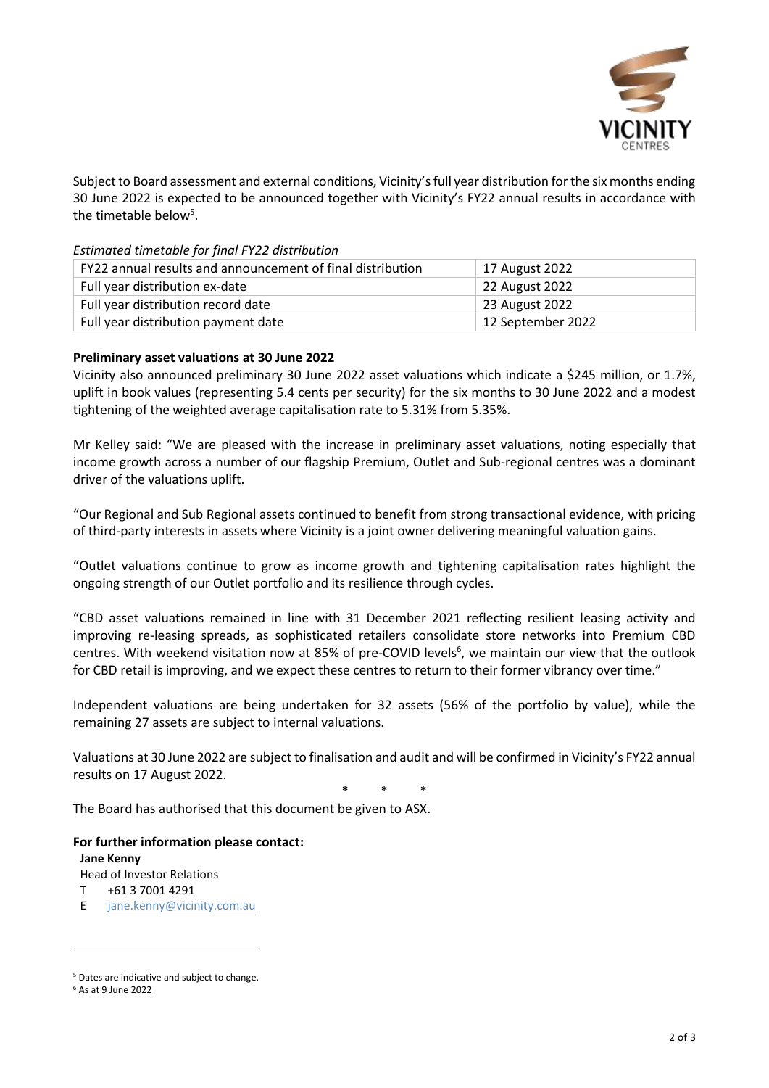

Subject to Board assessment and external conditions, Vicinity's full year distribution for the six months ending 30 June 2022 is expected to be announced together with Vicinity's FY22 annual results in accordance with the timetable below<sup>5</sup>.

*Estimated timetable for final FY22 distribution* 

| FY22 annual results and announcement of final distribution | 17 August 2022    |
|------------------------------------------------------------|-------------------|
| Full year distribution ex-date                             | 22 August 2022    |
| Full year distribution record date                         | 23 August 2022    |
| Full year distribution payment date                        | 12 September 2022 |

#### **Preliminary asset valuations at 30 June 2022**

Vicinity also announced preliminary 30 June 2022 asset valuations which indicate a \$245 million, or 1.7%, uplift in book values (representing 5.4 cents per security) for the six months to 30 June 2022 and a modest tightening of the weighted average capitalisation rate to 5.31% from 5.35%.

Mr Kelley said: "We are pleased with the increase in preliminary asset valuations, noting especially that income growth across a number of our flagship Premium, Outlet and Sub-regional centres was a dominant driver of the valuations uplift.

"Our Regional and Sub Regional assets continued to benefit from strong transactional evidence, with pricing of third-party interests in assets where Vicinity is a joint owner delivering meaningful valuation gains.

"Outlet valuations continue to grow as income growth and tightening capitalisation rates highlight the ongoing strength of our Outlet portfolio and its resilience through cycles.

"CBD asset valuations remained in line with 31 December 2021 reflecting resilient leasing activity and improving re-leasing spreads, as sophisticated retailers consolidate store networks into Premium CBD centres. With weekend visitation now at 85% of pre-COVID levels<sup>6</sup>, we maintain our view that the outlook for CBD retail is improving, and we expect these centres to return to their former vibrancy over time."

Independent valuations are being undertaken for 32 assets (56% of the portfolio by value), while the remaining 27 assets are subject to internal valuations.

Valuations at 30 June 2022 are subject to finalisation and audit and will be confirmed in Vicinity's FY22 annual results on 17 August 2022.

\* \* \*

The Board has authorised that this document be given to ASX.

#### **For further information please contact:**

**Jane Kenny**

Head of Investor Relations

T +61 3 7001 4291

E [jane.kenny@vicinity.com.au](mailto:jane.kenny@vicinity.com.au)

<sup>5</sup> Dates are indicative and subject to change.

<sup>6</sup> As at 9 June 2022